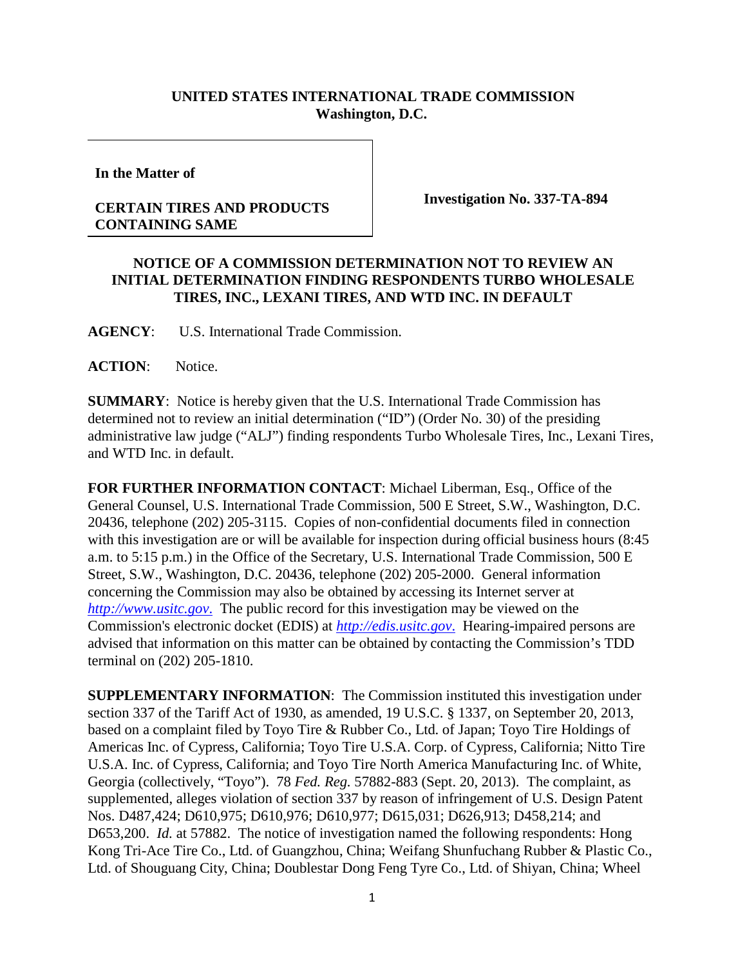## **UNITED STATES INTERNATIONAL TRADE COMMISSION Washington, D.C.**

**In the Matter of**

## **CERTAIN TIRES AND PRODUCTS CONTAINING SAME**

**Investigation No. 337-TA-894**

## **NOTICE OF A COMMISSION DETERMINATION NOT TO REVIEW AN INITIAL DETERMINATION FINDING RESPONDENTS TURBO WHOLESALE TIRES, INC., LEXANI TIRES, AND WTD INC. IN DEFAULT**

**AGENCY**: U.S. International Trade Commission.

ACTION: Notice.

**SUMMARY**: Notice is hereby given that the U.S. International Trade Commission has determined not to review an initial determination ("ID") (Order No. 30) of the presiding administrative law judge ("ALJ") finding respondents Turbo Wholesale Tires, Inc., Lexani Tires, and WTD Inc. in default.

**FOR FURTHER INFORMATION CONTACT**: Michael Liberman, Esq., Office of the General Counsel, U.S. International Trade Commission, 500 E Street, S.W., Washington, D.C. 20436, telephone (202) 205-3115. Copies of non-confidential documents filed in connection with this investigation are or will be available for inspection during official business hours (8:45 a.m. to 5:15 p.m.) in the Office of the Secretary, U.S. International Trade Commission, 500 E Street, S.W., Washington, D.C. 20436, telephone (202) 205-2000. General information concerning the Commission may also be obtained by accessing its Internet server at *[http://www.usitc.gov](http://www.usitc.gov./)*. The public record for this investigation may be viewed on the Commission's electronic docket (EDIS) at *[http://edis.usitc.gov](http://edis.usitc.gov./)*. Hearing-impaired persons are advised that information on this matter can be obtained by contacting the Commission's TDD terminal on (202) 205-1810.

**SUPPLEMENTARY INFORMATION**: The Commission instituted this investigation under section 337 of the Tariff Act of 1930, as amended, 19 U.S.C. § 1337, on September 20, 2013, based on a complaint filed by Toyo Tire & Rubber Co., Ltd. of Japan; Toyo Tire Holdings of Americas Inc. of Cypress, California; Toyo Tire U.S.A. Corp. of Cypress, California; Nitto Tire U.S.A. Inc. of Cypress, California; and Toyo Tire North America Manufacturing Inc. of White, Georgia (collectively, "Toyo"). 78 *Fed. Reg.* 57882-883 (Sept. 20, 2013). The complaint, as supplemented, alleges violation of section 337 by reason of infringement of U.S. Design Patent Nos. D487,424; D610,975; D610,976; D610,977; D615,031; D626,913; D458,214; and D653,200. *Id.* at 57882. The notice of investigation named the following respondents: Hong Kong Tri-Ace Tire Co., Ltd. of Guangzhou, China; Weifang Shunfuchang Rubber & Plastic Co., Ltd. of Shouguang City, China; Doublestar Dong Feng Tyre Co., Ltd. of Shiyan, China; Wheel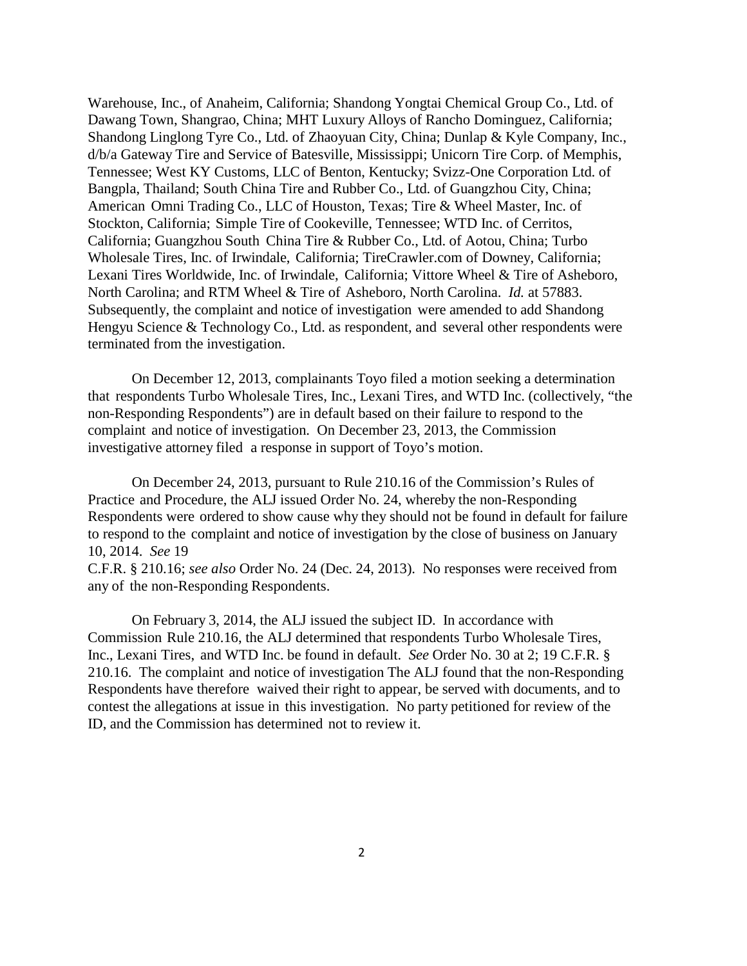Warehouse, Inc., of Anaheim, California; Shandong Yongtai Chemical Group Co., Ltd. of Dawang Town, Shangrao, China; MHT Luxury Alloys of Rancho Dominguez, California; Shandong Linglong Tyre Co., Ltd. of Zhaoyuan City, China; Dunlap & Kyle Company, Inc., d/b/a Gateway Tire and Service of Batesville, Mississippi; Unicorn Tire Corp. of Memphis, Tennessee; West KY Customs, LLC of Benton, Kentucky; Svizz-One Corporation Ltd. of Bangpla, Thailand; South China Tire and Rubber Co., Ltd. of Guangzhou City, China; American Omni Trading Co., LLC of Houston, Texas; Tire & Wheel Master, Inc. of Stockton, California; Simple Tire of Cookeville, Tennessee; WTD Inc. of Cerritos, California; Guangzhou South China Tire & Rubber Co., Ltd. of Aotou, China; Turbo Wholesale Tires, Inc. of Irwindale, California; TireCrawler.com of Downey, California; Lexani Tires Worldwide, Inc. of Irwindale, California; Vittore Wheel & Tire of Asheboro, North Carolina; and RTM Wheel & Tire of Asheboro, North Carolina. *Id.* at 57883. Subsequently, the complaint and notice of investigation were amended to add Shandong Hengyu Science & Technology Co., Ltd. as respondent, and several other respondents were terminated from the investigation.

On December 12, 2013, complainants Toyo filed a motion seeking a determination that respondents Turbo Wholesale Tires, Inc., Lexani Tires, and WTD Inc. (collectively, "the non-Responding Respondents") are in default based on their failure to respond to the complaint and notice of investigation. On December 23, 2013, the Commission investigative attorney filed a response in support of Toyo's motion.

On December 24, 2013, pursuant to Rule 210.16 of the Commission's Rules of Practice and Procedure, the ALJ issued Order No. 24, whereby the non-Responding Respondents were ordered to show cause why they should not be found in default for failure to respond to the complaint and notice of investigation by the close of business on January 10, 2014. *See* 19

C.F.R. § 210.16; *see also* Order No. 24 (Dec. 24, 2013). No responses were received from any of the non-Responding Respondents.

On February 3, 2014, the ALJ issued the subject ID. In accordance with Commission Rule 210.16, the ALJ determined that respondents Turbo Wholesale Tires, Inc., Lexani Tires, and WTD Inc. be found in default. *See* Order No. 30 at 2; 19 C.F.R. § 210.16. The complaint and notice of investigation The ALJ found that the non-Responding Respondents have therefore waived their right to appear, be served with documents, and to contest the allegations at issue in this investigation. No party petitioned for review of the ID, and the Commission has determined not to review it.